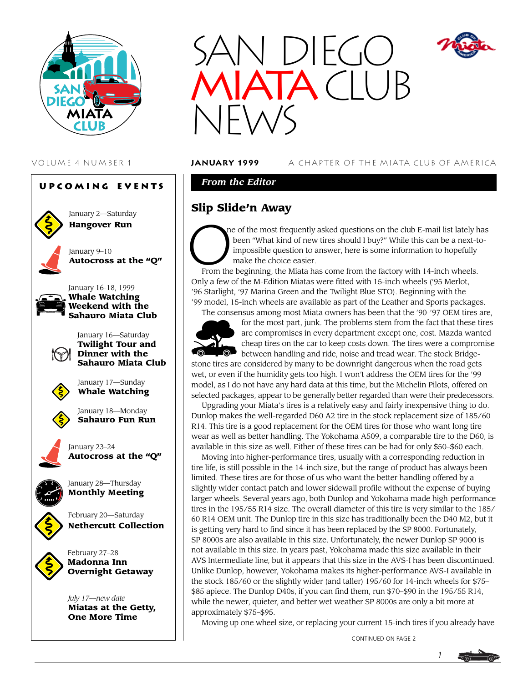





VOLUME 4 NUMBER 1 **january 1999** A CHAPTER OF THE MIATA CLUB OF AMERICA

*From the Editor*

# **Slip Slide'n Away**



ne of the most frequently asked questions on the club E-mail list lately has been "What kind of new tires should I buy?" While this can be a next-to impossible question to answer, here is some information to hopefully make the choice easier.

From the beginning, the Miata has come from the factory with 14-inch wheels. Only a few of the M-Edition Miatas were fitted with 15-inch wheels ('95 Merlot, '96 Starlight, '97 Marina Green and the Twilight Blue STO). Beginning with the '99 model, 15-inch wheels are available as part of the Leather and Sports packages. The consensus among most Miata owners has been that the '90-'97 OEM tires are,



for the most part, junk. The problems stem from the fact that these tires are compromises in every department except one, cost. Mazda wanted cheap tires on the car to keep costs down. The tires were a compromise between handling and ride, noise and tread wear. The stock Bridge-

stone tires are considered by many to be downright dangerous when the road gets wet, or even if the humidity gets too high. I won't address the OEM tires for the '99 model, as I do not have any hard data at this time, but the Michelin Pilots, offered on selected packages, appear to be generally better regarded than were their predecessors.

Upgrading your Miata's tires is a relatively easy and fairly inexpensive thing to do. Dunlop makes the well-regarded D60 A2 tire in the stock replacement size of 185/60 R14. This tire is a good replacement for the OEM tires for those who want long tire wear as well as better handling. The Yokohama A509, a comparable tire to the D60, is available in this size as well. Either of these tires can be had for only \$50–\$60 each.

Moving into higher-performance tires, usually with a corresponding reduction in tire life, is still possible in the 14-inch size, but the range of product has always been limited. These tires are for those of us who want the better handling offered by a slightly wider contact patch and lower sidewall profile without the expense of buying larger wheels. Several years ago, both Dunlop and Yokohama made high-performance tires in the 195/55 R14 size. The overall diameter of this tire is very similar to the 185/ 60 R14 OEM unit. The Dunlop tire in this size has traditionally been the D40 M2, but it is getting very hard to find since it has been replaced by the SP 8000. Fortunately, SP 8000s are also available in this size. Unfortunately, the newer Dunlop SP 9000 is not available in this size. In years past, Yokohama made this size available in their AVS Intermediate line, but it appears that this size in the AVS-I has been discontinued. Unlike Dunlop, however, Yokohama makes its higher-performance AVS-I available in the stock 185/60 or the slightly wider (and taller) 195/60 for 14-inch wheels for \$75– \$85 apiece. The Dunlop D40s, if you can find them, run \$70–\$90 in the 195/55 R14, while the newer, quieter, and better wet weather SP 8000s are only a bit more at approximately \$75–\$95.

Moving up one wheel size, or replacing your current 15-inch tires if you already have

CONTINUED ON PAGE 2

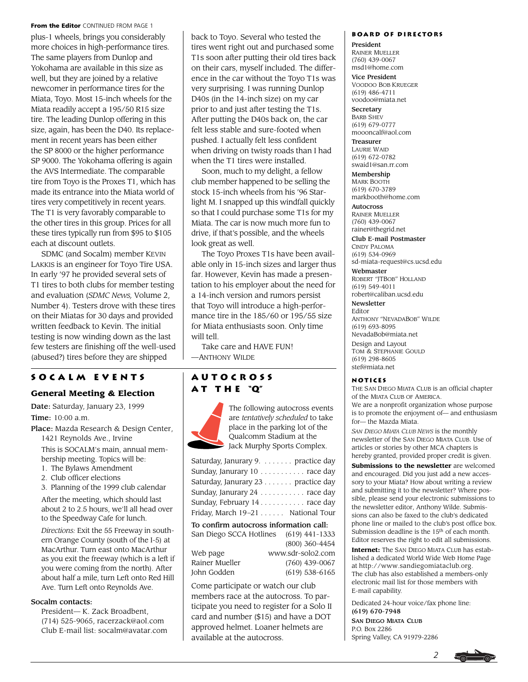#### From the Editor CONTINUED FROM PAGE 1

plus-1 wheels, brings you considerably more choices in high-performance tires. The same players from Dunlop and Yokohama are available in this size as well, but they are joined by a relative newcomer in performance tires for the Miata, Toyo. Most 15-inch wheels for the Miata readily accept a 195/50 R15 size tire. The leading Dunlop offering in this size, again, has been the D40. Its replacement in recent years has been either the SP 8000 or the higher performance SP 9000. The Yokohama offering is again the AVS Intermediate. The comparable tire from Toyo is the Proxes T1, which has made its entrance into the Miata world of tires very competitively in recent years. The T1 is very favorably comparable to the other tires in this group. Prices for all these tires typically run from \$95 to \$105 each at discount outlets.

SDMC (and Socalm) member KEVIN LAKKIS is an engineer for Toyo Tire USA. In early '97 he provided several sets of T1 tires to both clubs for member testing and evaluation (*SDMC News,* Volume 2, Number 4). Testers drove with these tires on their Miatas for 30 days and provided written feedback to Kevin. The initial testing is now winding down as the last few testers are finishing off the well-used (abused?) tires before they are shipped

## **Socalm events**

### **General Meeting & Election**

Date: Saturday, January 23, 1999 Time: 10:00 a.m.

Place: Mazda Research & Design Center,

1421 Reynolds Ave., Irvine

This is SOCALM's main, annual membership meeting. Topics will be:

1. The Bylaws Amendment

2. Club officer elections

3. Planning of the 1999 club calendar After the meeting, which should last about 2 to 2.5 hours, we'll all head over to the Speedway Cafe for lunch.

*Directions:* Exit the 55 Freeway in southern Orange County (south of the I-5) at MacArthur. Turn east onto MacArthur as you exit the freeway (which is a left if you were coming from the north). After about half a mile, turn Left onto Red Hill Ave. Turn Left onto Reynolds Ave.

#### Socalm contacts:

President— K. Zack Broadbent, (714) 525-9065, racerzack@aol.com Club E-mail list: socalm@avatar.com back to Toyo. Several who tested the tires went right out and purchased some T1s soon after putting their old tires back on their cars, myself included. The difference in the car without the Toyo T1s was very surprising. I was running Dunlop D40s (in the 14-inch size) on my car prior to and just after testing the T1s. After putting the D40s back on, the car felt less stable and sure-footed when pushed. I actually felt less confident when driving on twisty roads than I had when the T1 tires were installed.

Soon, much to my delight, a fellow club member happened to be selling the stock 15-inch wheels from his '96 Starlight M. I snapped up this windfall quickly so that I could purchase some T1s for my Miata. The car is now much more fun to drive, if that's possible, and the wheels look great as well.

The Toyo Proxes T1s have been available only in 15-inch sizes and larger thus far. However, Kevin has made a presentation to his employer about the need for a 14-inch version and rumors persist that Toyo will introduce a high-performance tire in the 185/60 or 195/55 size for Miata enthusiasts soon. Only time will tell.

Take care and HAVE FUN! —ANTHONY WILDE

## **Autocross a t t h e "Q"**



The following autocross events are *tentatively scheduled* to take place in the parking lot of the Qualcomm Stadium at the Jack Murphy Sports Complex.

| Saturday, Janurary 9. practice day                                                                                                                                                                                                                   |                |  |
|------------------------------------------------------------------------------------------------------------------------------------------------------------------------------------------------------------------------------------------------------|----------------|--|
| Sunday, Janurary 10 race day                                                                                                                                                                                                                         |                |  |
| Saturday, Janurary 23 practice day                                                                                                                                                                                                                   |                |  |
| Sunday, Janurary 24 race day                                                                                                                                                                                                                         |                |  |
| Sunday, February 14 race day                                                                                                                                                                                                                         |                |  |
| Friday, March 19-21 National Tour                                                                                                                                                                                                                    |                |  |
| To confirm autocross information call:                                                                                                                                                                                                               |                |  |
| San Diego SCCA Hotlines (619) 441-1333                                                                                                                                                                                                               |                |  |
|                                                                                                                                                                                                                                                      | (800) 360-4454 |  |
| $111 - 1 - 1 = -1$<br>and the common state of the state of the state of the state of the state of the state of the state of the state of the state of the state of the state of the state of the state of the state of the state of the state of the |                |  |

|                | TUTT UUU IUUUI    |
|----------------|-------------------|
| Web page       | www.sdr-solo2.com |
| Rainer Mueller | $(760)$ 439-0067  |
| Iohn Godden    | $(619)$ 538-6165  |
|                |                   |

Come participate or watch our club members race at the autocross. To participate you need to register for a Solo II card and number (\$15) and have a DOT approved helmet. Loaner helmets are available at the autocross.

#### **Board of Directors**

President RAINER MUELLER (760) 439-0067 msd1@home.com

Vice President VOODOO BOB KRUEGER (619) 486-4711 voodoo@miata.net

**Secretary** BARB SHEV (619) 679-0777 moooncalf@aol.com

Treasurer LAURIE WAID (619) 672-0782 swaid1@san.rr.com

Membership MARK BOOTH (619) 670-3789 markbooth@home.com

**Autocross** RAINER MUELLER (760) 439-0067 rainer@thegrid.net

Club E-mail Postmaster

CINDY PALOMA (619) 534-0969 sd-miata-request@cs.ucsd.edu Webmaster

ROBERT "JTBOB" HOLLAND (619) 549-4011 robert@caliban.ucsd.edu

Newsletter

Editor ANTHONY "NEVADABOB" WILDE (619) 693-8095 NevadaBob@miata.net Design and Layout TOM & STEPHANIE GOULD (619) 298-8605 stef@miata.net

### **Notices**

THE SAN DIEGO MIATA CLUB is an official chapter of the MIATA CLUB OF AMERICA. We are a nonprofit organization whose purpose is to promote the enjoyment of— and enthusiasm for— the Mazda Miata.

*SAN DIEGO MIATA CLUB NEWS* is the monthly newsletter of the SAN DIEGO MIATA CLUB. Use of articles or stories by other MCA chapters is hereby granted, provided proper credit is given.

**Submissions to the newsletter** are welcomed and encouraged. Did you just add a new accessory to your Miata? How about writing a review and submitting it to the newsletter? Where possible, please send your electronic submissions to the newsletter editor, Anthony Wilde. Submissions can also be faxed to the club's dedicated phone line or mailed to the club's post office box. Submission deadline is the 15<sup>th</sup> of each month. Editor reserves the right to edit all submissions.

**Internet:** The SAN DIEGO MIATA CLUB has established a dedicated World Wide Web Home Page at http://www.sandiegomiataclub.org. The club has also established a members-only electronic mail list for those members with E-mail capability.

Dedicated 24-hour voice/fax phone line: (619) 670-7948

SAN DIEGO MIATA CLUB P.O. Box 2286 Spring Valley, CA 91979-2286

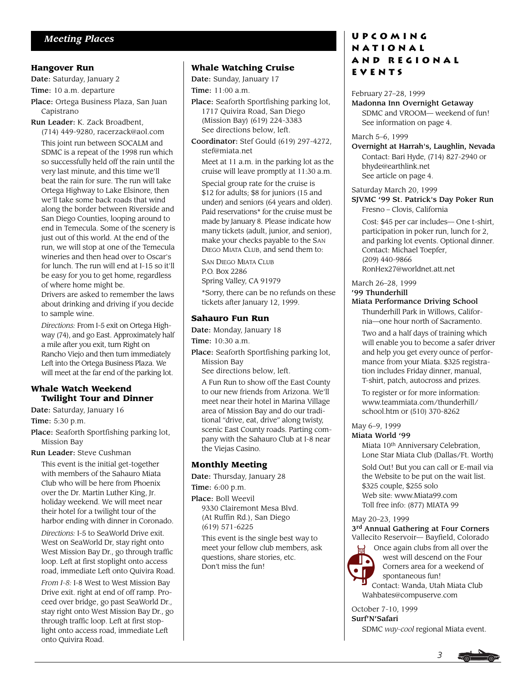#### **Hangover Run**

Date: Saturday, January 2

Time: 10 a.m. departure

- Place: Ortega Business Plaza, San Juan Capistrano
- Run Leader: K. Zack Broadbent,

(714) 449-9280, racerzack@aol.com This joint run between SOCALM and SDMC is a repeat of the 1998 run which so successfully held off the rain until the very last minute, and this time we'll beat the rain for sure. The run will take Ortega Highway to Lake Elsinore, then we'll take some back roads that wind along the border between Riverside and San Diego Counties, looping around to end in Temecula. Some of the scenery is just out of this world. At the end of the run, we will stop at one of the Temecula wineries and then head over to Oscar's for lunch. The run will end at I-15 so it'll be easy for you to get home, regardless of where home might be.

Drivers are asked to remember the laws about drinking and driving if you decide to sample wine.

*Directions:* From I-5 exit on Ortega Highway (74), and go East. Approximately half a mile after you exit, turn Right on Rancho Viejo and then turn immediately Left into the Ortega Business Plaza. We will meet at the far end of the parking lot.

#### **Whale Watch Weekend Twilight Tour and Dinner**

Date: Saturday, January 16 Time: 5:30 p.m.

Place: Seaforth Sportfishing parking lot, Mission Bay

Run Leader: Steve Cushman

This event is the initial get-together with members of the Sahauro Miata Club who will be here from Phoenix over the Dr. Martin Luther King, Jr. holiday weekend. We will meet near their hotel for a twilight tour of the harbor ending with dinner in Coronado.

*Directions:* I-5 to SeaWorld Drive exit. West on SeaWorld Dr, stay right onto West Mission Bay Dr., go through traffic loop. Left at first stoplight onto access road, immediate Left onto Quivira Road.

*From I-8:* I-8 West to West Mission Bay Drive exit. right at end of off ramp. Proceed over bridge, go past SeaWorld Dr., stay right onto West Mission Bay Dr., go through traffic loop. Left at first stoplight onto access road, immediate Left onto Quivira Road.

### **Whale Watching Cruise**

Date: Sunday, January 17 Time: 11:00 a.m.

- Place: Seaforth Sportfishing parking lot, 1717 Quivira Road, San Diego (Mission Bay) (619) 224-3383 See directions below, left.
- Coordinator: Stef Gould (619) 297-4272, stef@miata.net

Meet at 11 a.m. in the parking lot as the cruise will leave promptly at 11:30 a.m.

Special group rate for the cruise is \$12 for adults; \$8 for juniors (15 and under) and seniors (64 years and older). Paid reservations\* for the cruise must be made by January 8. Please indicate how many tickets (adult, junior, and senior), make your checks payable to the SAN DIEGO MIATA CLUB, and send them to:

SAN DIEGO MIATA CLUB

P.O. Box 2286

Spring Valley, CA 91979

\*Sorry, there can be no refunds on these tickets after January 12, 1999.

### **Sahauro Fun Run**

Date: Monday, January 18

Time: 10:30 a.m.

- Place: Seaforth Sportfishing parking lot, Mission Bay
	- See directions below, left.
	- A Fun Run to show off the East County to our new friends from Arizona. We'll meet near their hotel in Marina Village area of Mission Bay and do our traditional "drive, eat, drive" along twisty, scenic East County roads. Parting company with the Sahauro Club at I-8 near the Viejas Casino.

### **Monthly Meeting**

Date: Thursday, January 28

Time: 6:00 p.m.

Place: Boll Weevil 9330 Clairemont Mesa Blvd. (At Ruffin Rd.), San Diego (619) 571-6225 This event is the single best way to meet your fellow club members, ask questions, share stories, etc. Don't miss the fun!

# *Meeting Places* **UPCOMING National and Regional Events**

February 27–28, 1999 Madonna Inn Overnight Getaway SDMC and VROOM— weekend of fun! See information on page 4.

March 5–6, 1999

Overnight at Harrah's, Laughlin, Nevada Contact: Bari Hyde, (714) 827-2940 or bhyde@earthlink.net See article on page 4.

Saturday March 20, 1999

SJVMC '99 St. Patrick's Day Poker Run Fresno – Clovis, California

Cost: \$45 per car includes— One t-shirt, participation in poker run, lunch for 2, and parking lot events. Optional dinner. Contact: Michael Toepfer, (209) 440-9866 RonHex27@worldnet.att.net

March 26–28, 1999

### '99 Thunderhill

Miata Performance Driving School

Thunderhill Park in Willows, California—one hour north of Sacramento.

Two and a half days of training which will enable you to become a safer driver and help you get every ounce of performance from your Miata. \$325 registration includes Friday dinner, manual, T-shirt, patch, autocross and prizes.

To register or for more information: www.teammiata.com/thunderhill/ school.htm or (510) 370-8262

May 6–9, 1999

Miata World '99

Miata 10<sup>th</sup> Anniversary Celebration, Lone Star Miata Club (Dallas/Ft. Worth)

Sold Out! But you can call or E-mail via the Website to be put on the wait list. \$325 couple, \$255 solo Web site: www.Miata99.com Toll free info: (877) MIATA 99

May 20–23, 1999

3rd Annual Gathering at Four Corners Vallecito Reservoir— Bayfield, Colorado



 Once again clubs from all over the west will descend on the Four Corners area for a weekend of spontaneous fun! Contact: Wanda, Utah Miata Club Wahbates@compuserve.com

October 7-10, 1999 Surf'N'Safari SDMC *way-cool* regional Miata event.

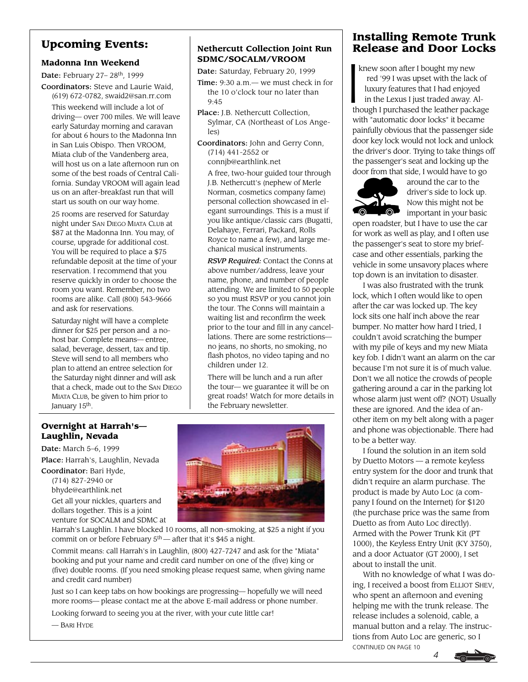# **Upcoming Events:**

## **Madonna Inn Weekend**

Date: February 27-28<sup>th</sup>, 1999

Coordinators: Steve and Laurie Waid, (619) 672-0782, swaid2@san.rr.com

This weekend will include a lot of driving— over 700 miles. We will leave early Saturday morning and caravan for about 6 hours to the Madonna Inn in San Luis Obispo. Then VROOM, Miata club of the Vandenberg area, will host us on a late afternoon run on some of the best roads of Central California. Sunday VROOM will again lead us on an after-breakfast run that will start us south on our way home.

25 rooms are reserved for Saturday night under SAN DIEGO MIATA CLUB at \$87 at the Madonna Inn. You may, of course, upgrade for additional cost. You will be required to place a \$75 refundable deposit at the time of your reservation. I recommend that you reserve quickly in order to choose the room you want. Remember, no two rooms are alike. Call (800) 543-9666 and ask for reservations.

Saturday night will have a complete dinner for \$25 per person and a nohost bar. Complete means— entree, salad, beverage, dessert, tax and tip. Steve will send to all members who plan to attend an entree selection for the Saturday night dinner and will ask that a check, made out to the SAN DIEGO MIATA CLUB, be given to him prior to January 15<sup>th</sup>.

# **Nethercutt Collection Joint Run SDMC/SOCALM/VROOM**

Date: Saturday, February 20, 1999

- Time: 9:30 a.m.— we must check in for the 10 o'clock tour no later than 9:45
- Place: J.B. Nethercutt Collection, Sylmar, CA (Northeast of Los Angeles)
- Coordinators: John and Gerry Conn, (714) 441-2552 or

connjb@earthlink.net A free, two-hour guided tour through

J.B. Nethercutt's (nephew of Merle Norman, cosmetics company fame) personal collection showcased in elegant surroundings. This is a must if you like antique/classic cars (Bugatti, Delahaye, Ferrari, Packard, Rolls Royce to name a few), and large mechanical musical instruments.

*RSVP Required:* Contact the Conns at above number/address, leave your name, phone, and number of people attending. We are limited to 50 people so you must RSVP or you cannot join the tour. The Conns will maintain a waiting list and reconfirm the week prior to the tour and fill in any cancellations. There are some restrictions no jeans, no shorts, no smoking, no flash photos, no video taping and no children under 12.

There will be lunch and a run after the tour— we guarantee it will be on great roads! Watch for more details in the February newsletter.

# **Overnight at Harrah's— Laughlin, Nevada**

Date: March 5–6, 1999 Place: Harrah's, Laughlin, Nevada Coordinator: Bari Hyde,

(714) 827-2940 or

bhyde@earthlink.net Get all your nickles, quarters and dollars together. This is a joint



Commit means: call Harrah's in Laughlin, (800) 427-7247 and ask for the "Miata" booking and put your name and credit card number on one of the (five) king or (five) double rooms. (If you need smoking please request same, when giving name and credit card number)

Just so I can keep tabs on how bookings are progressing— hopefully we will need more rooms— please contact me at the above E-mail address or phone number.

Looking forward to seeing you at the river, with your cute little car!

— BARI HYDE



# **Installing Remote Trunk Release and Door Locks**

 knew soon after I bought my new red '99 I was upset with the lack of luxury features that I had enjoyed in the Lexus I just traded away. Although I purchased the leather package with "automatic door locks" it became painfully obvious that the passenger side door key lock would not lock and unlock the driver's door. Trying to take things off the passenger's seat and locking up the door from that side, I would have to go k<br>| ki



around the car to the driver's side to lock up. Now this might not be **O** important in your basic

open roadster, but I have to use the car for work as well as play, and I often use the passenger's seat to store my briefcase and other essentials, parking the vehicle in some unsavory places where top down is an invitation to disaster.

I was also frustrated with the trunk lock, which I often would like to open after the car was locked up. The key lock sits one half inch above the rear bumper. No matter how hard I tried, I couldn't avoid scratching the bumper with my pile of keys and my new Miata key fob. I didn't want an alarm on the car because I'm not sure it is of much value. Don't we all notice the crowds of people gathering around a car in the parking lot whose alarm just went off? (NOT) Usually these are ignored. And the idea of another item on my belt along with a pager and phone was objectionable. There had to be a better way.

I found the solution in an item sold by Duetto Motors — a remote keyless entry system for the door and trunk that didn't require an alarm purchase. The product is made by Auto Loc (a company I found on the Internet) for \$120 (the purchase price was the same from Duetto as from Auto Loc directly). Armed with the Power Trunk Kit (PT 1000), the Keyless Entry Unit (KY 3750), and a door Actuator (GT 2000), I set about to install the unit.

With no knowledge of what I was doing, I received a boost from ELLIOT SHEV, who spent an afternoon and evening helping me with the trunk release. The release includes a solenoid, cable, a manual button and a relay. The instructions from Auto Loc are generic, so I CONTINUED ON PAGE 10

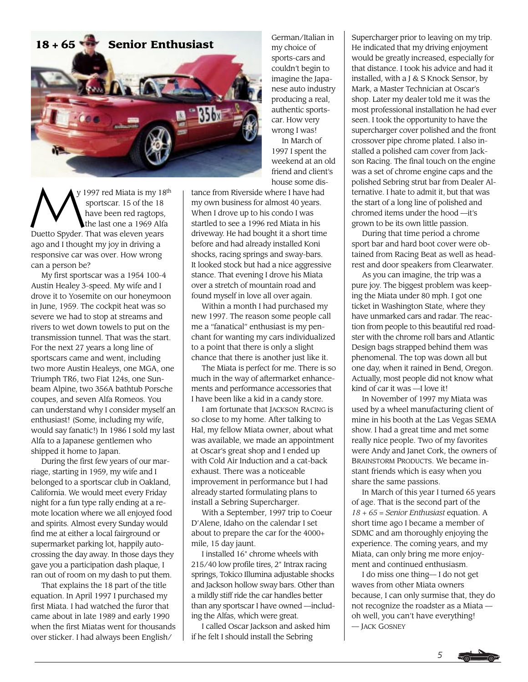

y 1997 red Miata is my 18<sup>th</sup> sportscar. 15 of the 18 have been red ragtops, the last one a 1969 Alfa Duetto Spyder. That was eleven years ago and I thought my joy in driving a responsive car was over. How wrong can a person be?  $\sum_{i}$ 

My first sportscar was a 1954 100-4 Austin Healey 3-speed. My wife and I drove it to Yosemite on our honeymoon in June, 1959. The cockpit heat was so severe we had to stop at streams and rivers to wet down towels to put on the transmission tunnel. That was the start. For the next 27 years a long line of sportscars came and went, including two more Austin Healeys, one MGA, one Triumph TR6, two Fiat 124s, one Sunbeam Alpine, two 356A bathtub Porsche coupes, and seven Alfa Romeos. You can understand why I consider myself an enthusiast! (Some, including my wife, would say fanatic!) In 1986 I sold my last Alfa to a Japanese gentlemen who shipped it home to Japan.

During the first few years of our marriage, starting in 1959, my wife and I belonged to a sportscar club in Oakland, California. We would meet every Friday night for a fun type rally ending at a remote location where we all enjoyed food and spirits. Almost every Sunday would find me at either a local fairground or supermarket parking lot, happily autocrossing the day away. In those days they gave you a participation dash plaque, I ran out of room on my dash to put them.

That explains the 18 part of the title equation. In April 1997 I purchased my first Miata. I had watched the furor that came about in late 1989 and early 1990 when the first Miatas went for thousands over sticker. I had always been English/

German/Italian in my choice of sports-cars and couldn't begin to imagine the Japanese auto industry producing a real, authentic sportscar. How very wrong I was! In March of 1997 I spent the weekend at an old friend and client's house some dis-

tance from Riverside where I have had my own business for almost 40 years. When I drove up to his condo I was startled to see a 1996 red Miata in his driveway. He had bought it a short time before and had already installed Koni shocks, racing springs and sway-bars. It looked stock but had a nice aggressive stance. That evening I drove his Miata over a stretch of mountain road and found myself in love all over again.

Within a month I had purchased my new 1997. The reason some people call me a "fanatical" enthusiast is my penchant for wanting my cars individualized to a point that there is only a slight chance that there is another just like it.

The Miata is perfect for me. There is so much in the way of aftermarket enhancements and performance accessories that I have been like a kid in a candy store.

I am fortunate that JACKSON RACING is so close to my home. After talking to Hal, my fellow Miata owner, about what was available, we made an appointment at Oscar's great shop and I ended up with Cold Air Induction and a cat-back exhaust. There was a noticeable improvement in performance but I had already started formulating plans to install a Sebring Supercharger.

With a September, 1997 trip to Coeur D'Alene, Idaho on the calendar I set about to prepare the car for the 4000+ mile, 15 day jaunt.

I installed 16" chrome wheels with 215/40 low profile tires, 2" Intrax racing springs, Tokico Illumina adjustable shocks and Jackson hollow sway bars. Other than a mildly stiff ride the car handles better than any sportscar I have owned —including the Alfas, which were great.

I called Oscar Jackson and asked him if he felt I should install the Sebring

Supercharger prior to leaving on my trip. He indicated that my driving enjoyment would be greatly increased, especially for that distance. I took his advice and had it installed, with a J & S Knock Sensor, by Mark, a Master Technician at Oscar's shop. Later my dealer told me it was the most professional installation he had ever seen. I took the opportunity to have the supercharger cover polished and the front crossover pipe chrome plated. I also installed a polished cam cover from Jackson Racing. The final touch on the engine was a set of chrome engine caps and the polished Sebring strut bar from Dealer Alternative. I hate to admit it, but that was the start of a long line of polished and chromed items under the hood —it's grown to be its own little passion.

During that time period a chrome sport bar and hard boot cover were obtained from Racing Beat as well as headrest and door speakers from Clearwater.

As you can imagine, the trip was a pure joy. The biggest problem was keeping the Miata under 80 mph. I got one ticket in Washington State, where they have unmarked cars and radar. The reaction from people to this beautiful red roadster with the chrome roll bars and Atlantic Design bags strapped behind them was phenomenal. The top was down all but one day, when it rained in Bend, Oregon. Actually, most people did not know what kind of car it was —I love it!

In November of 1997 my Miata was used by a wheel manufacturing client of mine in his booth at the Las Vegas SEMA show. I had a great time and met some really nice people. Two of my favorites were Andy and Janet Cork, the owners of BRAINSTORM PRODUCTS. We became instant friends which is easy when you share the same passions.

In March of this year I turned 65 years of age. That is the second part of the *18 + 65 = Senior Enthusiast* equation. A short time ago I became a member of SDMC and am thoroughly enjoying the experience. The coming years, and my Miata, can only bring me more enjoyment and continued enthusiasm.

I do miss one thing— I do not get waves from other Miata owners because, I can only surmise that, they do not recognize the roadster as a Miata oh well, you can't have everything! — JACK GOSNEY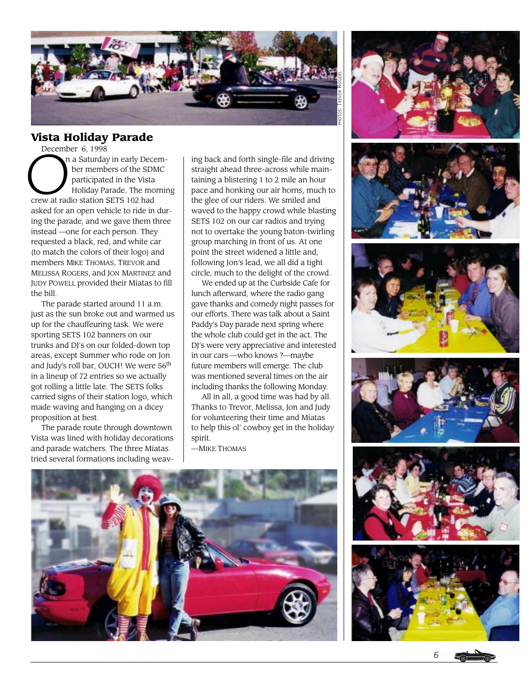

# **Vista Holiday Parade**

December 6, 1998<br>December 6, 1998<br>Der memb<br>participate<br>Holiday Pa n a Saturday in early Decem ber members of the SDMC participated in the Vista Holiday Parade. The morning crew at radio station SETS 102 had asked for an open vehicle to ride in during the parade, and we gave them three instead —one for each person. They requested a black, red, and white car (to match the colors of their logo) and members MIKE THOMAS, TREVOR and MELISSA ROGERS, and JON MARTINEZ and JUDY POWELL provided their Miatas to fill the bill.

The parade started around 11 a.m. just as the sun broke out and warmed us up for the chauffeuring task. We were sporting SETS 102 banners on our trunks and DJ's on our folded-down top areas, except Summer who rode on Jon and Judy's roll bar, OUCH! We were 56<sup>th</sup> in a lineup of 72 entries so we actually got rolling a little late. The SETS folks carried signs of their station logo, which made waving and hanging on a dicey proposition at best.

The parade route through downtown Vista was lined with holiday decorations and parade watchers. The three Miatas tried several formations including weaving back and forth single-file and driving straight ahead three-across while maintaining a blistering 1 to 2 mile an hour pace and honking our air horns, much to the glee of our riders. We smiled and waved to the happy crowd while blasting SETS 102 on our car radios and trying not to overtake the young baton-twirling group marching in front of us. At one point the street widened a little and, following Jon's lead, we all did a tight circle, much to the delight of the crowd.

We ended up at the Curbside Cafe for lunch afterward, where the radio gang gave thanks and comedy night passes for our efforts. There was talk about a Saint Paddy's Day parade next spring where the whole club could get in the act. The DJ's were very appreciative and interested in our cars —who knows ?—maybe future members will emerge. The club was mentioned several times on the air including thanks the following Monday.

All in all, a good time was had by all. Thanks to Trevor, Melissa, Jon and Judy for volunteering their time and Miatas to help this ol' cowboy get in the holiday spirit.

—MIKE THOMAS







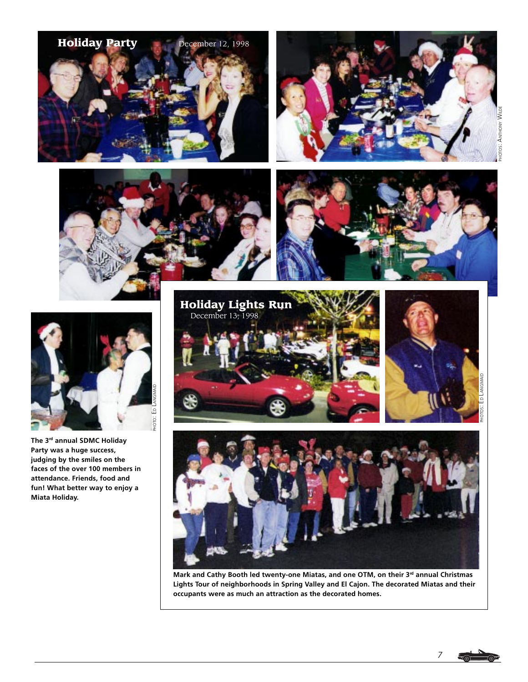









**The 3rd annual SDMC Holiday Party was a huge success, judging by the smiles on the faces of the over 100 members in attendance. Friends, food and fun! What better way to enjoy a Miata Holiday.**







Mark and Cathy Booth led twenty-one Miatas, and one OTM, on their 3<sup>rd</sup> annual Christmas **Lights Tour of neighborhoods in Spring Valley and El Cajon. The decorated Miatas and their occupants were as much an attraction as the decorated homes.**

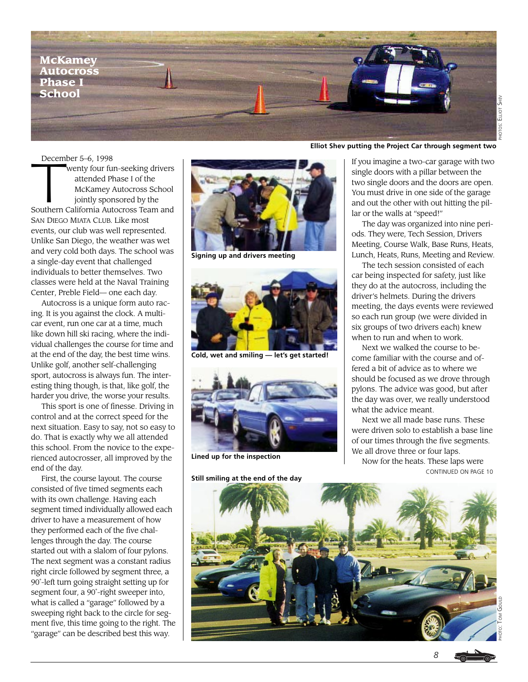

Decem December 5–6, 1998 wenty four fun-seeking drivers attended Phase I of the McKamey Autocross School jointly sponsored by the Southern California Autocross Team and SAN DIEGO MIATA CLUB. Like most events, our club was well represented. Unlike San Diego, the weather was wet and very cold both days. The school was a single-day event that challenged individuals to better themselves. Two classes were held at the Naval Training Center, Preble Field— one each day.

Autocross is a unique form auto racing. It is you against the clock. A multicar event, run one car at a time, much like down hill ski racing, where the individual challenges the course for time and at the end of the day, the best time wins. Unlike golf, another self-challenging sport, autocross is always fun. The interesting thing though, is that, like golf, the harder you drive, the worse your results.

This sport is one of finesse. Driving in control and at the correct speed for the next situation. Easy to say, not so easy to do. That is exactly why we all attended this school. From the novice to the experienced autocrosser, all improved by the end of the day.

First, the course layout. The course consisted of five timed segments each with its own challenge. Having each segment timed individually allowed each driver to have a measurement of how they performed each of the five challenges through the day. The course started out with a slalom of four pylons. The next segment was a constant radius right circle followed by segment three, a 90˚-left turn going straight setting up for segment four, a 90˚-right sweeper into, what is called a "garage" followed by a sweeping right back to the circle for segment five, this time going to the right. The "garage" can be described best this way.



**Signing up and drivers meeting**



**Cold, wet and smiling — let's get started!**



**Lined up for the inspection**

**Still smiling at the end of the day**

#### **Elliot Shev putting the Project Car through segment two**

If you imagine a two-car garage with two single doors with a pillar between the two single doors and the doors are open. You must drive in one side of the garage and out the other with out hitting the pillar or the walls at "speed!"

The day was organized into nine periods. They were, Tech Session, Drivers Meeting, Course Walk, Base Runs, Heats, Lunch, Heats, Runs, Meeting and Review.

The tech session consisted of each car being inspected for safety, just like they do at the autocross, including the driver's helmets. During the drivers meeting, the days events were reviewed so each run group (we were divided in six groups of two drivers each) knew when to run and when to work.

Next we walked the course to become familiar with the course and offered a bit of advice as to where we should be focused as we drove through pylons. The advice was good, but after the day was over, we really understood what the advice meant.

Next we all made base runs. These were driven solo to establish a base line of our times through the five segments. We all drove three or four laps. Now for the heats. These laps were CONTINUED ON PAGE 10

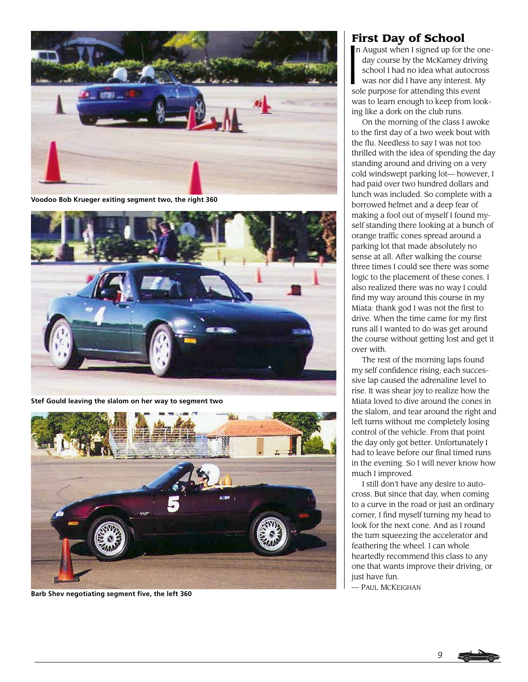

**Voodoo Bob Krueger exiting segment two, the right 360**



**Stef Gould leaving the slalom on her way to segment two**



**Barb Shev negotiating segment five, the left 360**

**First Day of School**<br> **I**n August when I signed up for the McKamey of day course by the McKamey of school I had no idea what au was nor did I have any intered n August when I signed up for the one day course by the McKamey driving school I had no idea what autocross was nor did I have any interest. My sole purpose for attending this event was to learn enough to keep from looking like a dork on the club runs.

On the morning of the class I awoke to the first day of a two week bout with the flu. Needless to say I was not too thrilled with the idea of spending the day standing around and driving on a very cold windswept parking lot— however, I had paid over two hundred dollars and lunch was included. So complete with a borrowed helmet and a deep fear of making a fool out of myself I found myself standing there looking at a bunch of orange traffic cones spread around a parking lot that made absolutely no sense at all. After walking the course three times I could see there was some logic to the placement of these cones. I also realized there was no way I could find my way around this course in my Miata: thank god I was not the first to drive. When the time came for my first runs all I wanted to do was get around the course without getting lost and get it over with.

The rest of the morning laps found my self confidence rising; each successive lap caused the adrenaline level to rise. It was shear joy to realize how the Miata loved to dive around the cones in the slalom, and tear around the right and left turns without me completely losing control of the vehicle. From that point the day only got better. Unfortunately I had to leave before our final timed runs in the evening. So I will never know how much I improved.

I still don't have any desire to autocross. But since that day, when coming to a curve in the road or just an ordinary corner, I find myself turning my head to look for the next cone. And as I round the turn squeezing the accelerator and feathering the wheel. I can whole heartedly recommend this class to any one that wants improve their driving, or just have fun.

— PAUL MCKEIGHAN

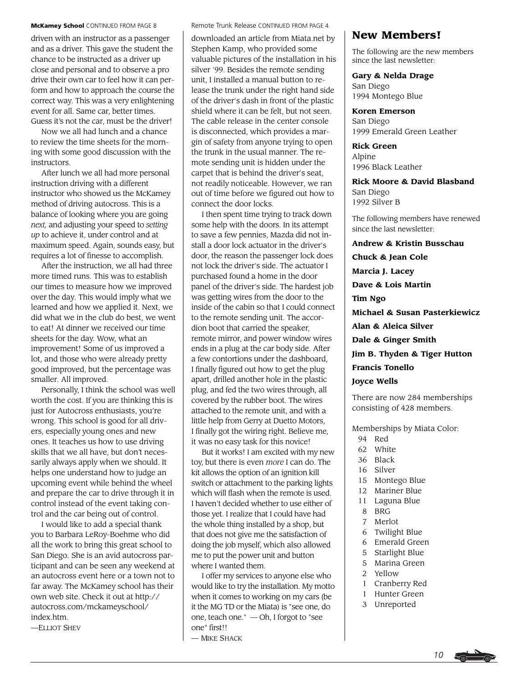driven with an instructor as a passenger and as a driver. This gave the student the chance to be instructed as a driver up close and personal and to observe a pro drive their own car to feel how it can perform and how to approach the course the correct way. This was a very enlightening event for all. Same car, better times. Guess it's not the car, must be the driver!

Now we all had lunch and a chance to review the time sheets for the morning with some good discussion with the instructors.

After lunch we all had more personal instruction driving with a different instructor who showed us the McKamey method of driving autocross. This is a balance of looking where you are going *next,* and adjusting your speed to *setting up* to achieve it, under control and at maximum speed. Again, sounds easy, but requires a lot of finesse to accomplish.

After the instruction, we all had three more timed runs. This was to establish our times to measure how we improved over the day. This would imply what we learned and how we applied it. Next, we did what we in the club do best, we went to eat! At dinner we received our time sheets for the day. Wow, what an improvement! Some of us improved a lot, and those who were already pretty good improved, but the percentage was smaller. All improved.

Personally, I think the school was well worth the cost. If you are thinking this is just for Autocross enthusiasts, you're wrong. This school is good for all drivers, especially young ones and new ones. It teaches us how to use driving skills that we all have, but don't necessarily always apply when we should. It helps one understand how to judge an upcoming event while behind the wheel and prepare the car to drive through it in control instead of the event taking control and the car being out of control.

I would like to add a special thank you to Barbara LeRoy-Boehme who did all the work to bring this great school to San Diego. She is an avid autocross participant and can be seen any weekend at an autocross event here or a town not to far away. The McKamey school has their own web site. Check it out at http:// autocross.com/mckameyschool/ index.htm.

—ELLIOT SHEV

#### **McKamey School** CONTINUED FROM PAGE 8 Remote Trunk Release CONTINUED FROM PAGE 4

downloaded an article from Miata.net by Stephen Kamp, who provided some valuable pictures of the installation in his silver '99. Besides the remote sending unit, I installed a manual button to release the trunk under the right hand side of the driver's dash in front of the plastic shield where it can be felt, but not seen. The cable release in the center console is disconnected, which provides a margin of safety from anyone trying to open the trunk in the usual manner. The remote sending unit is hidden under the carpet that is behind the driver's seat, not readily noticeable. However, we ran out of time before we figured out how to connect the door locks.

I then spent time trying to track down some help with the doors. In its attempt to save a few pennies, Mazda did not install a door lock actuator in the driver's door, the reason the passenger lock does not lock the driver's side. The actuator I purchased found a home in the door panel of the driver's side. The hardest job was getting wires from the door to the inside of the cabin so that I could connect to the remote sending unit. The accordion boot that carried the speaker, remote mirror, and power window wires ends in a plug at the car body side. After a few contortions under the dashboard, I finally figured out how to get the plug apart, drilled another hole in the plastic plug, and fed the two wires through, all covered by the rubber boot. The wires attached to the remote unit, and with a little help from Gerry at Duetto Motors, I finally got the wiring right. Believe me, it was no easy task for this novice!

But it works! I am excited with my new toy, but there is even *more* I can do. The kit allows the option of an ignition kill switch or attachment to the parking lights which will flash when the remote is used. I haven't decided whether to use either of those yet. I realize that I could have had the whole thing installed by a shop, but that does not give me the satisfaction of doing the job myself, which also allowed me to put the power unit and button where I wanted them.

I offer my services to anyone else who would like to try the installation. My motto when it comes to working on my cars (be it the MG TD or the Miata) is "see one, do one, teach one."␣ — Oh, I forgot to "see one" first!!

### — MIKE SHACK

# **New Members!**

The following are the new members since the last newsletter:

**Gary & Nelda Drage** San Diego

1994 Montego Blue

**Koren Emerson** San Diego 1999 Emerald Green Leather

**Rick Green** Alpine 1996 Black Leather

**Rick Moore & David Blasband** San Diego 1992 Silver B

The following members have renewed since the last newsletter:

**Andrew & Kristin Busschau Chuck & Jean Cole Marcia J. Lacey Dave & Lois Martin Tim Ngo Michael & Susan Pasterkiewicz Alan & Aleica Silver Dale & Ginger Smith Jim B. Thyden & Tiger Hutton Francis Tonello Joyce Wells**

There are now 284 memberships consisting of 428 members.

Memberships by Miata Color:

- 94 Red
- 62 White
- 36 Black
- 16 Silver
- 15 Montego Blue
- 12 Mariner Blue
- 11 Laguna Blue
- 8 BRG
- 7 Merlot
- 6 Twilight Blue
- 6 Emerald Green
- 5 Starlight Blue
- 5 Marina Green
- 2 Yellow
- 1 Cranberry Red
- 1 Hunter Green
- 3 Unreported